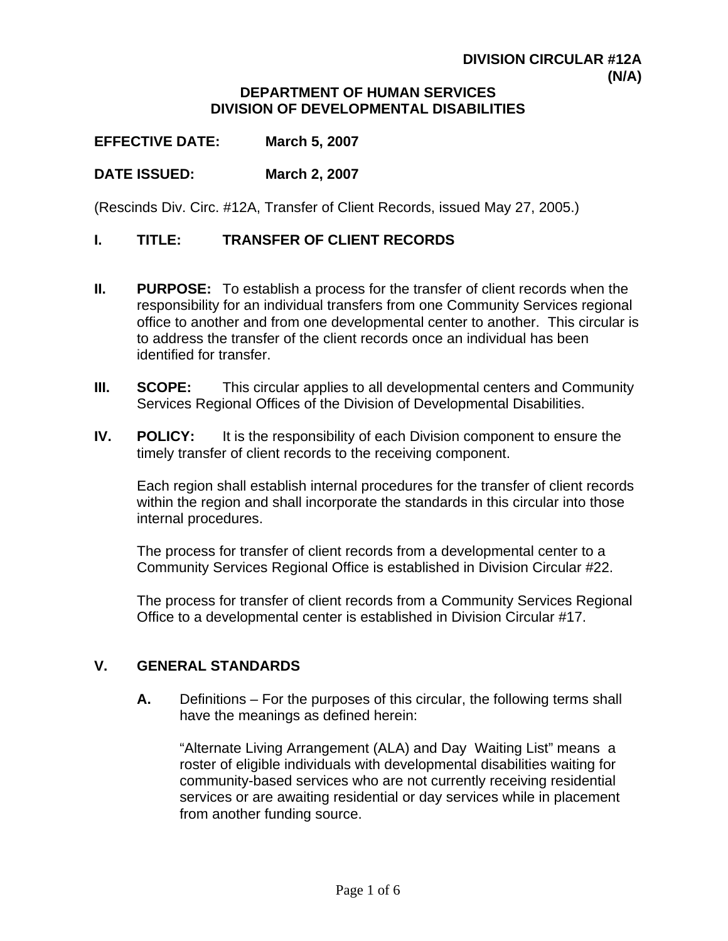## **DIVISION CIRCULAR #12A (N/A)**

#### **DEPARTMENT OF HUMAN SERVICES DIVISION OF DEVELOPMENTAL DISABILITIES**

**EFFECTIVE DATE: March 5, 2007** 

## **DATE ISSUED: March 2, 2007**

(Rescinds Div. Circ. #12A, Transfer of Client Records, issued May 27, 2005.)

#### **I. TITLE: TRANSFER OF CLIENT RECORDS**

- **II.** PURPOSE: To establish a process for the transfer of client records when the responsibility for an individual transfers from one Community Services regional office to another and from one developmental center to another. This circular is to address the transfer of the client records once an individual has been identified for transfer.
- **III. SCOPE:** This circular applies to all developmental centers and Community Services Regional Offices of the Division of Developmental Disabilities.
- **IV.** POLICY: It is the responsibility of each Division component to ensure the timely transfer of client records to the receiving component.

Each region shall establish internal procedures for the transfer of client records within the region and shall incorporate the standards in this circular into those internal procedures.

The process for transfer of client records from a developmental center to a Community Services Regional Office is established in Division Circular #22.

The process for transfer of client records from a Community Services Regional Office to a developmental center is established in Division Circular #17.

#### **V. GENERAL STANDARDS**

**A.** Definitions – For the purposes of this circular, the following terms shall have the meanings as defined herein:

"Alternate Living Arrangement (ALA) and Day Waiting List" means a roster of eligible individuals with developmental disabilities waiting for community-based services who are not currently receiving residential services or are awaiting residential or day services while in placement from another funding source.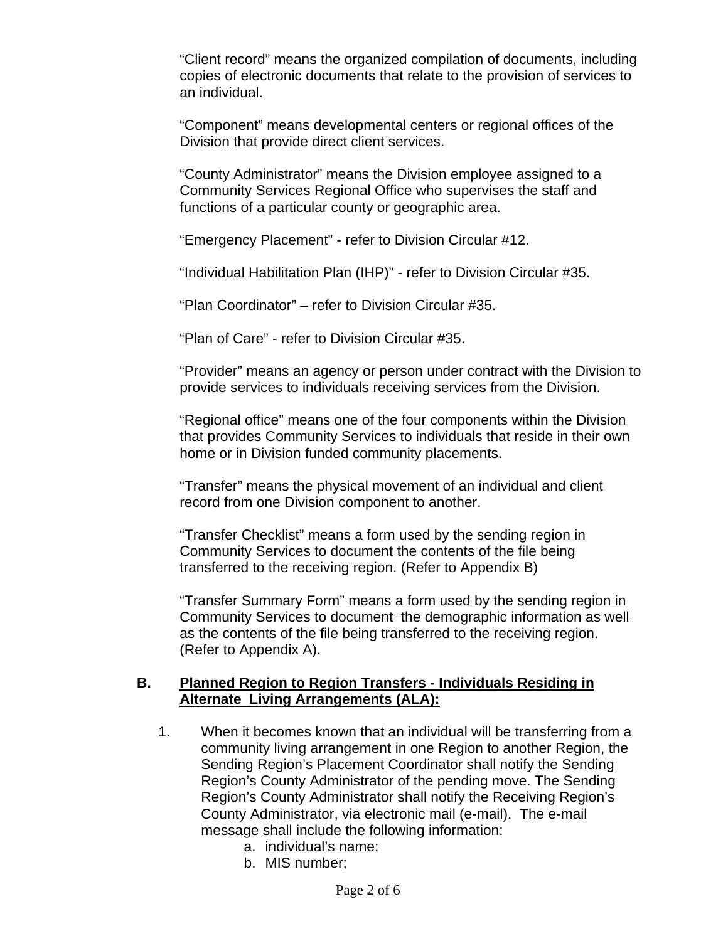"Client record" means the organized compilation of documents, including copies of electronic documents that relate to the provision of services to an individual.

"Component" means developmental centers or regional offices of the Division that provide direct client services.

"County Administrator" means the Division employee assigned to a Community Services Regional Office who supervises the staff and functions of a particular county or geographic area.

"Emergency Placement" - refer to Division Circular #12.

"Individual Habilitation Plan (IHP)" - refer to Division Circular #35.

"Plan Coordinator" – refer to Division Circular #35.

"Plan of Care" - refer to Division Circular #35.

"Provider" means an agency or person under contract with the Division to provide services to individuals receiving services from the Division.

"Regional office" means one of the four components within the Division that provides Community Services to individuals that reside in their own home or in Division funded community placements.

"Transfer" means the physical movement of an individual and client record from one Division component to another.

"Transfer Checklist" means a form used by the sending region in Community Services to document the contents of the file being transferred to the receiving region. (Refer to Appendix B)

"Transfer Summary Form" means a form used by the sending region in Community Services to document the demographic information as well as the contents of the file being transferred to the receiving region. (Refer to Appendix A).

## **B. Planned Region to Region Transfers - Individuals Residing in Alternate Living Arrangements (ALA):**

- 1. When it becomes known that an individual will be transferring from a community living arrangement in one Region to another Region, the Sending Region's Placement Coordinator shall notify the Sending Region's County Administrator of the pending move. The Sending Region's County Administrator shall notify the Receiving Region's County Administrator, via electronic mail (e-mail). The e-mail message shall include the following information:
	- a. individual's name;
	- b. MIS number;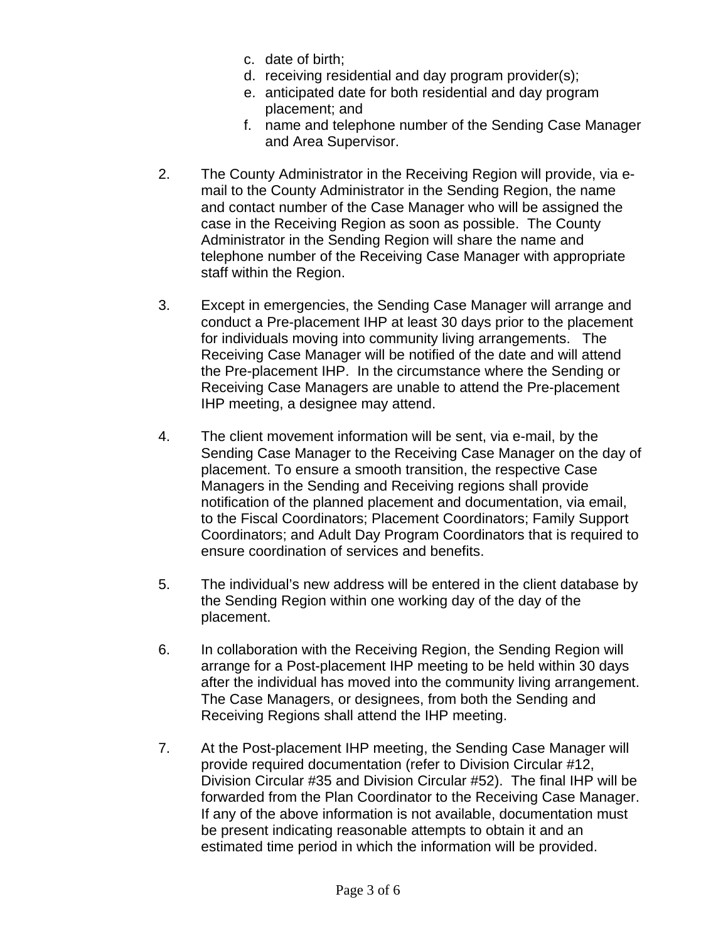- c. date of birth;
- d. receiving residential and day program provider(s);
- e. anticipated date for both residential and day program placement; and
- f. name and telephone number of the Sending Case Manager and Area Supervisor.
- 2. The County Administrator in the Receiving Region will provide, via email to the County Administrator in the Sending Region, the name and contact number of the Case Manager who will be assigned the case in the Receiving Region as soon as possible. The County Administrator in the Sending Region will share the name and telephone number of the Receiving Case Manager with appropriate staff within the Region.
- 3. Except in emergencies, the Sending Case Manager will arrange and conduct a Pre-placement IHP at least 30 days prior to the placement for individuals moving into community living arrangements. The Receiving Case Manager will be notified of the date and will attend the Pre-placement IHP. In the circumstance where the Sending or Receiving Case Managers are unable to attend the Pre-placement IHP meeting, a designee may attend.
- 4. The client movement information will be sent, via e-mail, by the Sending Case Manager to the Receiving Case Manager on the day of placement. To ensure a smooth transition, the respective Case Managers in the Sending and Receiving regions shall provide notification of the planned placement and documentation, via email, to the Fiscal Coordinators; Placement Coordinators; Family Support Coordinators; and Adult Day Program Coordinators that is required to ensure coordination of services and benefits.
- 5. The individual's new address will be entered in the client database by the Sending Region within one working day of the day of the placement.
- 6. In collaboration with the Receiving Region, the Sending Region will arrange for a Post-placement IHP meeting to be held within 30 days after the individual has moved into the community living arrangement. The Case Managers, or designees, from both the Sending and Receiving Regions shall attend the IHP meeting.
- 7. At the Post-placement IHP meeting, the Sending Case Manager will provide required documentation (refer to Division Circular #12, Division Circular #35 and Division Circular #52). The final IHP will be forwarded from the Plan Coordinator to the Receiving Case Manager. If any of the above information is not available, documentation must be present indicating reasonable attempts to obtain it and an estimated time period in which the information will be provided.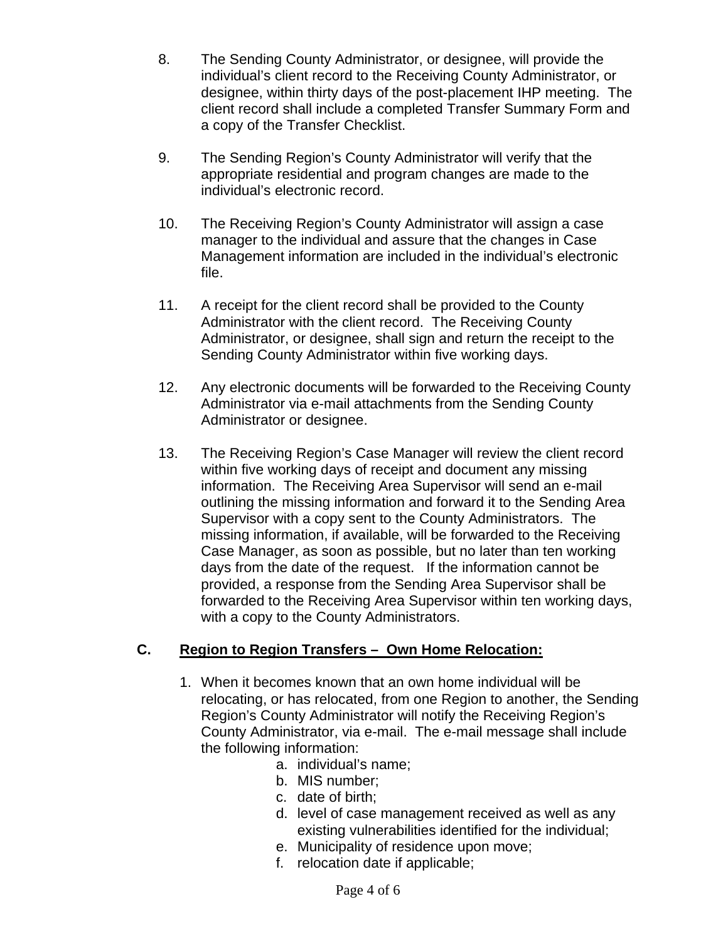- 8. The Sending County Administrator, or designee, will provide the individual's client record to the Receiving County Administrator, or designee, within thirty days of the post-placement IHP meeting. The client record shall include a completed Transfer Summary Form and a copy of the Transfer Checklist.
- 9. The Sending Region's County Administrator will verify that the appropriate residential and program changes are made to the individual's electronic record.
- 10. The Receiving Region's County Administrator will assign a case manager to the individual and assure that the changes in Case Management information are included in the individual's electronic file.
- 11. A receipt for the client record shall be provided to the County Administrator with the client record. The Receiving County Administrator, or designee, shall sign and return the receipt to the Sending County Administrator within five working days.
- 12. Any electronic documents will be forwarded to the Receiving County Administrator via e-mail attachments from the Sending County Administrator or designee.
- 13. The Receiving Region's Case Manager will review the client record within five working days of receipt and document any missing information. The Receiving Area Supervisor will send an e-mail outlining the missing information and forward it to the Sending Area Supervisor with a copy sent to the County Administrators. The missing information, if available, will be forwarded to the Receiving Case Manager, as soon as possible, but no later than ten working days from the date of the request. If the information cannot be provided, a response from the Sending Area Supervisor shall be forwarded to the Receiving Area Supervisor within ten working days, with a copy to the County Administrators.

# **C. Region to Region Transfers – Own Home Relocation:**

- 1. When it becomes known that an own home individual will be relocating, or has relocated, from one Region to another, the Sending Region's County Administrator will notify the Receiving Region's County Administrator, via e-mail. The e-mail message shall include the following information:
	- a. individual's name;
	- b. MIS number;
	- c. date of birth;
	- d. level of case management received as well as any existing vulnerabilities identified for the individual;
	- e. Municipality of residence upon move;
	- f. relocation date if applicable;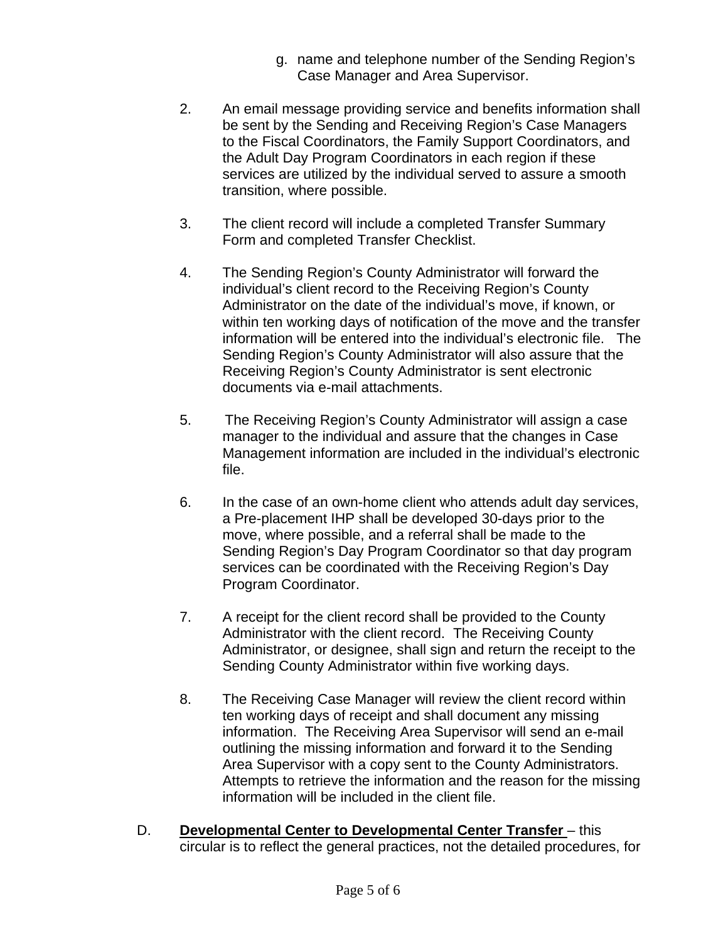- g. name and telephone number of the Sending Region's Case Manager and Area Supervisor.
- 2. An email message providing service and benefits information shall be sent by the Sending and Receiving Region's Case Managers to the Fiscal Coordinators, the Family Support Coordinators, and the Adult Day Program Coordinators in each region if these services are utilized by the individual served to assure a smooth transition, where possible.
- 3. The client record will include a completed Transfer Summary Form and completed Transfer Checklist.
- 4. The Sending Region's County Administrator will forward the individual's client record to the Receiving Region's County Administrator on the date of the individual's move, if known, or within ten working days of notification of the move and the transfer information will be entered into the individual's electronic file. The Sending Region's County Administrator will also assure that the Receiving Region's County Administrator is sent electronic documents via e-mail attachments.
- 5. The Receiving Region's County Administrator will assign a case manager to the individual and assure that the changes in Case Management information are included in the individual's electronic file.
- 6. In the case of an own-home client who attends adult day services, a Pre-placement IHP shall be developed 30-days prior to the move, where possible, and a referral shall be made to the Sending Region's Day Program Coordinator so that day program services can be coordinated with the Receiving Region's Day Program Coordinator.
- 7. A receipt for the client record shall be provided to the County Administrator with the client record. The Receiving County Administrator, or designee, shall sign and return the receipt to the Sending County Administrator within five working days.
- 8. The Receiving Case Manager will review the client record within ten working days of receipt and shall document any missing information. The Receiving Area Supervisor will send an e-mail outlining the missing information and forward it to the Sending Area Supervisor with a copy sent to the County Administrators. Attempts to retrieve the information and the reason for the missing information will be included in the client file.
- D. **Developmental Center to Developmental Center Transfer** this circular is to reflect the general practices, not the detailed procedures, for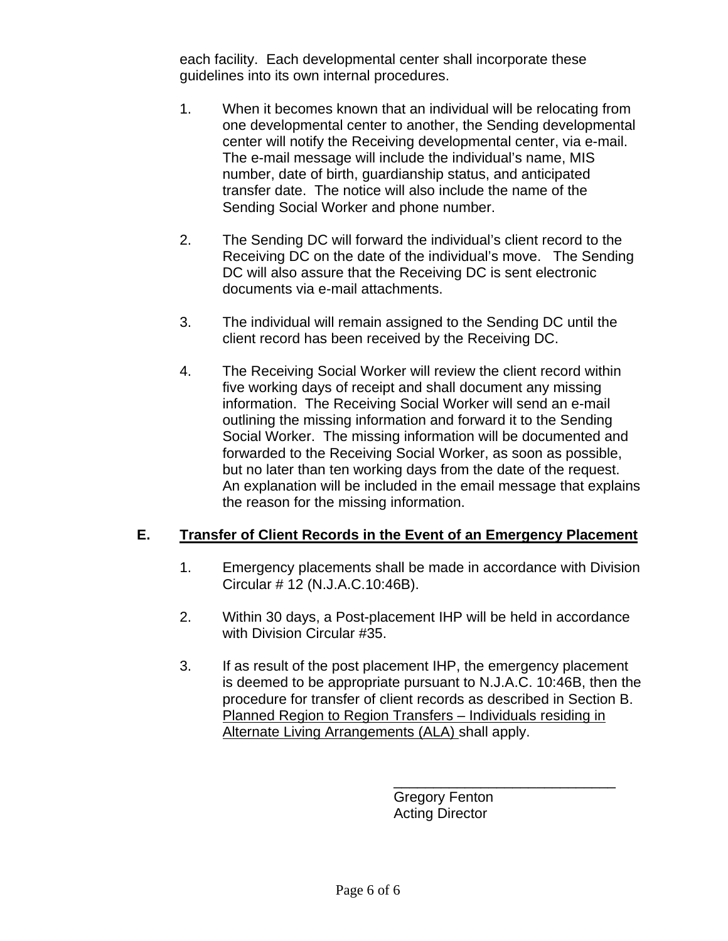each facility. Each developmental center shall incorporate these guidelines into its own internal procedures.

- 1. When it becomes known that an individual will be relocating from one developmental center to another, the Sending developmental center will notify the Receiving developmental center, via e-mail. The e-mail message will include the individual's name, MIS number, date of birth, guardianship status, and anticipated transfer date. The notice will also include the name of the Sending Social Worker and phone number.
- 2. The Sending DC will forward the individual's client record to the Receiving DC on the date of the individual's move. The Sending DC will also assure that the Receiving DC is sent electronic documents via e-mail attachments.
- 3. The individual will remain assigned to the Sending DC until the client record has been received by the Receiving DC.
- 4. The Receiving Social Worker will review the client record within five working days of receipt and shall document any missing information. The Receiving Social Worker will send an e-mail outlining the missing information and forward it to the Sending Social Worker. The missing information will be documented and forwarded to the Receiving Social Worker, as soon as possible, but no later than ten working days from the date of the request. An explanation will be included in the email message that explains the reason for the missing information.

# **E. Transfer of Client Records in the Event of an Emergency Placement**

- 1. Emergency placements shall be made in accordance with Division Circular # 12 (N.J.A.C.10:46B).
- 2. Within 30 days, a Post-placement IHP will be held in accordance with Division Circular #35.
- 3. If as result of the post placement IHP, the emergency placement is deemed to be appropriate pursuant to N.J.A.C. 10:46B, then the procedure for transfer of client records as described in Section B. Planned Region to Region Transfers – Individuals residing in Alternate Living Arrangements (ALA) shall apply.

Gregory Fenton Acting Director

\_\_\_\_\_\_\_\_\_\_\_\_\_\_\_\_\_\_\_\_\_\_\_\_\_\_\_\_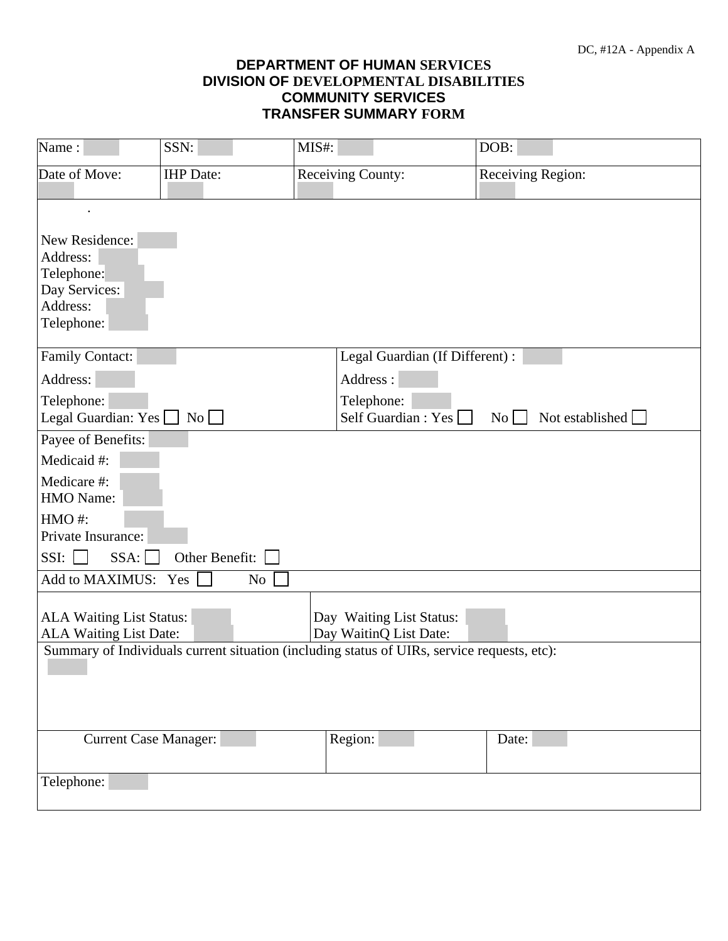### **DEPARTMENT OF HUMAN SERVICES DIVISION OF DEVELOPMENTAL DISABILITIES COMMUNITY SERVICES TRANSFER SUMMARY FORM**

| Name:                                                     | SSN:                         | MIS#:                    |                                                    | DOB:                                                                                        |                 |
|-----------------------------------------------------------|------------------------------|--------------------------|----------------------------------------------------|---------------------------------------------------------------------------------------------|-----------------|
| Date of Move:                                             | <b>IHP</b> Date:             | <b>Receiving County:</b> |                                                    | Receiving Region:                                                                           |                 |
|                                                           |                              |                          |                                                    |                                                                                             |                 |
| New Residence:                                            |                              |                          |                                                    |                                                                                             |                 |
| Address:                                                  |                              |                          |                                                    |                                                                                             |                 |
| Telephone:                                                |                              |                          |                                                    |                                                                                             |                 |
| Day Services:<br>Address:                                 |                              |                          |                                                    |                                                                                             |                 |
| Telephone:                                                |                              |                          |                                                    |                                                                                             |                 |
|                                                           |                              |                          |                                                    |                                                                                             |                 |
| <b>Family Contact:</b>                                    |                              |                          |                                                    | Legal Guardian (If Different) :                                                             |                 |
| Address:                                                  |                              |                          | Address:                                           |                                                                                             |                 |
| Telephone:                                                |                              |                          | Telephone:                                         |                                                                                             |                 |
| Legal Guardian: Yes                                       | $\overline{N_0}$             |                          | Self Guardian : Yes                                | $\mathrm{No}$                                                                               | Not established |
| Payee of Benefits:                                        |                              |                          |                                                    |                                                                                             |                 |
| Medicaid #:                                               |                              |                          |                                                    |                                                                                             |                 |
| Medicare #:<br>HMO Name:                                  |                              |                          |                                                    |                                                                                             |                 |
| HMO#:<br>Private Insurance:                               |                              |                          |                                                    |                                                                                             |                 |
| SSI:<br>SSA:                                              | Other Benefit:               |                          |                                                    |                                                                                             |                 |
|                                                           |                              |                          |                                                    |                                                                                             |                 |
| Add to MAXIMUS:                                           | Yes<br>N <sub>o</sub>        |                          |                                                    |                                                                                             |                 |
|                                                           |                              |                          |                                                    |                                                                                             |                 |
| <b>ALA Waiting List Status:</b><br>ALA Waiting List Date: |                              |                          | Day Waiting List Status:<br>Day WaitinQ List Date: |                                                                                             |                 |
|                                                           |                              |                          |                                                    | Summary of Individuals current situation (including status of UIRs, service requests, etc): |                 |
|                                                           |                              |                          |                                                    |                                                                                             |                 |
|                                                           |                              |                          |                                                    |                                                                                             |                 |
|                                                           |                              |                          |                                                    |                                                                                             |                 |
|                                                           |                              |                          |                                                    |                                                                                             |                 |
|                                                           | <b>Current Case Manager:</b> | Region:                  |                                                    | Date:                                                                                       |                 |
|                                                           |                              |                          |                                                    |                                                                                             |                 |
| Telephone:                                                |                              |                          |                                                    |                                                                                             |                 |
|                                                           |                              |                          |                                                    |                                                                                             |                 |